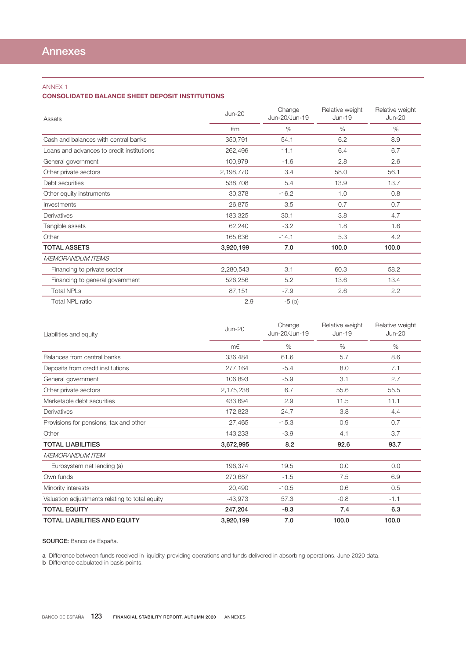## ANNEX 1

## CONSOLIDATED BALANCE SHEET DEPOSIT INSTITUTIONS

| Assets                                    | <b>Jun-20</b> | Change<br>Jun-20/Jun-19 | Relative weight<br>Jun-19 | Relative weight<br>Jun-20 |
|-------------------------------------------|---------------|-------------------------|---------------------------|---------------------------|
|                                           | €m            | $\%$                    | $\%$                      | $\%$                      |
| Cash and balances with central banks      | 350,791       | 54.1                    | 6.2                       | 8.9                       |
| Loans and advances to credit institutions | 262,496       | 11.1                    | 6.4                       | 6.7                       |
| General government                        | 100,979       | $-1.6$                  | 2.8                       | 2.6                       |
| Other private sectors                     | 2,198,770     | 3.4                     | 58.0                      | 56.1                      |
| Debt securities                           | 538,708       | 5.4                     | 13.9                      | 13.7                      |
| Other equity instruments                  | 30,378        | $-16.2$                 | 1.0                       | 0.8                       |
| Investments                               | 26,875        | 3.5                     | 0.7                       | 0.7                       |
| Derivatives                               | 183,325       | 30.1                    | 3.8                       | 4.7                       |
| Tangible assets                           | 62,240        | $-3.2$                  | 1.8                       | 1.6                       |
| Other                                     | 165,636       | $-14.1$                 | 5.3                       | 4.2                       |
| <b>TOTAL ASSETS</b>                       | 3,920,199     | 7.0                     | 100.0                     | 100.0                     |
| <b>MEMORANDUM ITEMS</b>                   |               |                         |                           |                           |
| Financing to private sector               | 2,280,543     | 3.1                     | 60.3                      | 58.2                      |
| Financing to general government           | 526,256       | 5.2                     | 13.6                      | 13.4                      |
| <b>Total NPLs</b>                         | 87,151        | $-7.9$                  | 2.6                       | 2.2                       |
| <b>Total NPL ratio</b>                    | 2.9           | $-5$ (b)                |                           |                           |

| Liabilities and equity                         | $Jun-20$  | Change<br>Jun-20/Jun-19 | Relative weight<br>$Jun-19$ | Relative weight<br><b>Jun-20</b> |
|------------------------------------------------|-----------|-------------------------|-----------------------------|----------------------------------|
|                                                | m€        | $\%$                    | $\%$                        | $\%$                             |
| Balances from central banks                    | 336,484   | 61.6                    | 5.7                         | 8.6                              |
| Deposits from credit institutions              | 277,164   | $-5.4$                  | 8.0                         | 7.1                              |
| General government                             | 106,893   | $-5.9$                  | 3.1                         | 2.7                              |
| Other private sectors                          | 2,175,238 | 6.7                     | 55.6                        | 55.5                             |
| Marketable debt securities                     | 433,694   | 2.9                     | 11.5                        | 11.1                             |
| Derivatives                                    | 172,823   | 24.7                    | 3.8                         | 4.4                              |
| Provisions for pensions, tax and other         | 27,465    | $-15.3$                 | 0.9                         | 0.7                              |
| Other                                          | 143,233   | $-3.9$                  | 4.1                         | 3.7                              |
| <b>TOTAL LIABILITIES</b>                       | 3,672,995 | 8.2                     | 92.6                        | 93.7                             |
| <b>MEMORANDUM ITEM</b>                         |           |                         |                             |                                  |
| Eurosystem net lending (a)                     | 196,374   | 19.5                    | 0.0                         | 0.0                              |
| Own funds                                      | 270,687   | $-1.5$                  | 7.5                         | 6.9                              |
| Minority interests                             | 20,490    | $-10.5$                 | 0.6                         | 0.5                              |
| Valuation adjustments relating to total equity | $-43,973$ | 57.3                    | $-0.8$                      | $-1.1$                           |
| <b>TOTAL EQUITY</b>                            | 247,204   | $-8.3$                  | 7.4                         | 6.3                              |
| <b>TOTAL LIABILITIES AND EQUITY</b>            | 3,920,199 | 7.0                     | 100.0                       | 100.0                            |

## SOURCE: Banco de España.

a Difference between funds received in liquidity-providing operations and funds delivered in absorbing operations. June 2020 data.

**b** Difference calculated in basis points.